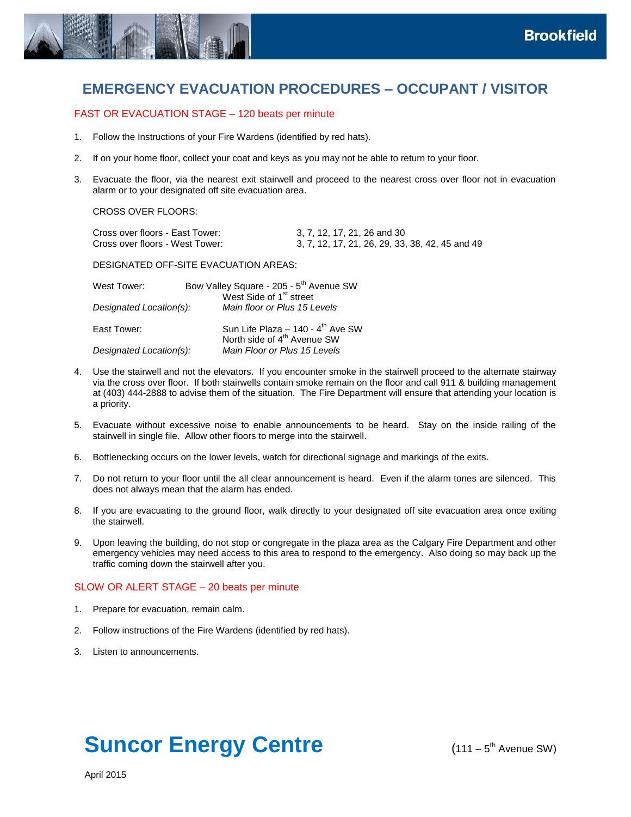

# **EMERGENCY EVACUATION PROCEDURES – OCCUPANT / VISITOR**

# FAST OR EVACUATION STAGE – 120 beats per minute

- 1. Follow the Instructions of your Fire Wardens (identified by red hats).
- 2. If on your home floor, collect your coat and keys as you may not be able to return to your floor.
- 3. Evacuate the floor, via the nearest exit stairwell and proceed to the nearest cross over floor not in evacuation alarm or to your designated off site evacuation area.

CROSS OVER FLOORS:

| Cross over floors - East Tower: | 3, 7, 12, 17, 21, 26 and 30                     |
|---------------------------------|-------------------------------------------------|
| Cross over floors - West Tower: | 3, 7, 12, 17, 21, 26, 29, 33, 38, 42, 45 and 49 |

DESIGNATED OFF-SITE EVACUATION AREAS:

| West Tower:             | Bow Valley Square - 205 - 5 <sup>th</sup> Avenue SW<br>West Side of 1 <sup>st</sup> street |
|-------------------------|--------------------------------------------------------------------------------------------|
| Designated Location(s): | Main floor or Plus 15 Levels                                                               |
| East Tower:             | Sun Life Plaza - 140 - 4 <sup>th</sup> Ave SW<br>North side of 4 <sup>th</sup> Avenue SW   |
| Designated Location(s): | Main Floor or Plus 15 Levels                                                               |

- 4. Use the stairwell and not the elevators. If you encounter smoke in the stairwell proceed to the alternate stairway via the cross over floor. If both stairwells contain smoke remain on the floor and call 911 & building management at (403) 444-2888 to advise them of the situation. The Fire Department will ensure that attending your location is a priority.
- 5. Evacuate without excessive noise to enable announcements to be heard. Stay on the inside railing of the stairwell in single file. Allow other floors to merge into the stairwell.
- 6. Bottlenecking occurs on the lower levels, watch for directional signage and markings of the exits.
- 7. Do not return to your floor until the all clear announcement is heard. Even if the alarm tones are silenced. This does not always mean that the alarm has ended.
- 8. If you are evacuating to the ground floor, walk directly to your designated off site evacuation area once exiting the stairwell.
- 9. Upon leaving the building, do not stop or congregate in the plaza area as the Calgary Fire Department and other emergency vehicles may need access to this area to respond to the emergency. Also doing so may back up the traffic coming down the stairwell after you.

#### SLOW OR ALERT STAGE – 20 beats per minute

- 1. Prepare for evacuation, remain calm.
- 2. Follow instructions of the Fire Wardens (identified by red hats).
- 3. Listen to announcements.

# **Suncor Energy Centre**

 $(111 - 5^{th}$  Avenue SW)